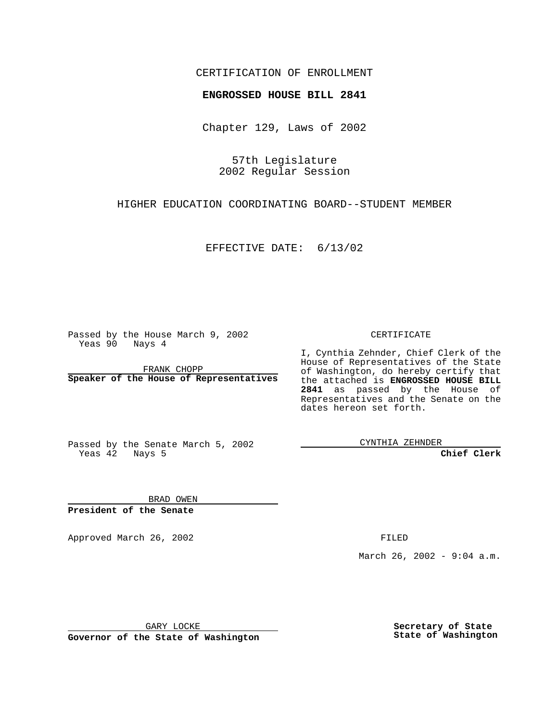### CERTIFICATION OF ENROLLMENT

# **ENGROSSED HOUSE BILL 2841**

Chapter 129, Laws of 2002

57th Legislature 2002 Regular Session

HIGHER EDUCATION COORDINATING BOARD--STUDENT MEMBER

EFFECTIVE DATE: 6/13/02

Passed by the House March 9, 2002 Yeas 90 Nays 4

FRANK CHOPP **Speaker of the House of Representatives** CERTIFICATE

I, Cynthia Zehnder, Chief Clerk of the House of Representatives of the State of Washington, do hereby certify that the attached is **ENGROSSED HOUSE BILL 2841** as passed by the House of Representatives and the Senate on the dates hereon set forth.

Passed by the Senate March 5, 2002 Yeas 42 Nays 5

CYNTHIA ZEHNDER

**Chief Clerk**

BRAD OWEN **President of the Senate**

Approved March 26, 2002 **FILED** 

March 26, 2002 - 9:04 a.m.

GARY LOCKE

**Governor of the State of Washington**

**Secretary of State State of Washington**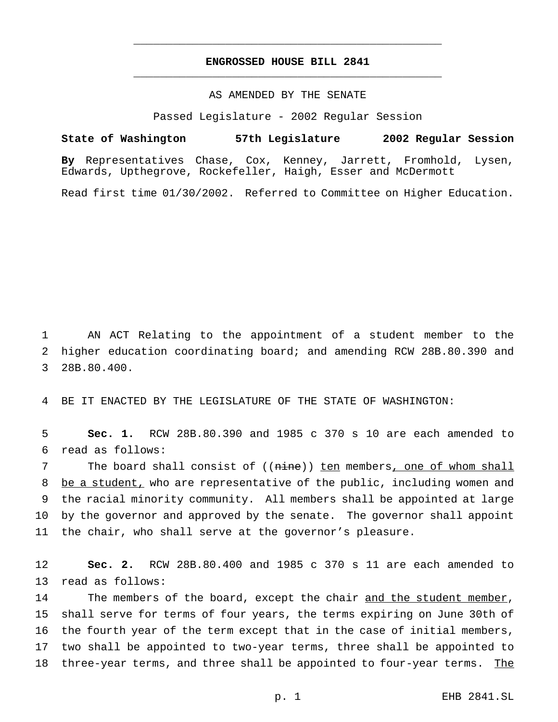## **ENGROSSED HOUSE BILL 2841** \_\_\_\_\_\_\_\_\_\_\_\_\_\_\_\_\_\_\_\_\_\_\_\_\_\_\_\_\_\_\_\_\_\_\_\_\_\_\_\_\_\_\_\_\_\_\_

\_\_\_\_\_\_\_\_\_\_\_\_\_\_\_\_\_\_\_\_\_\_\_\_\_\_\_\_\_\_\_\_\_\_\_\_\_\_\_\_\_\_\_\_\_\_\_

#### AS AMENDED BY THE SENATE

Passed Legislature - 2002 Regular Session

## **State of Washington 57th Legislature 2002 Regular Session**

**By** Representatives Chase, Cox, Kenney, Jarrett, Fromhold, Lysen, Edwards, Upthegrove, Rockefeller, Haigh, Esser and McDermott

Read first time 01/30/2002. Referred to Committee on Higher Education.

1 AN ACT Relating to the appointment of a student member to the 2 higher education coordinating board; and amending RCW 28B.80.390 and 3 28B.80.400.

4 BE IT ENACTED BY THE LEGISLATURE OF THE STATE OF WASHINGTON:

5 **Sec. 1.** RCW 28B.80.390 and 1985 c 370 s 10 are each amended to 6 read as follows:

7 The board shall consist of ((nine)) ten members, one of whom shall 8 be a student, who are representative of the public, including women and 9 the racial minority community. All members shall be appointed at large 10 by the governor and approved by the senate. The governor shall appoint 11 the chair, who shall serve at the governor's pleasure.

12 **Sec. 2.** RCW 28B.80.400 and 1985 c 370 s 11 are each amended to 13 read as follows:

14 The members of the board, except the chair and the student member, 15 shall serve for terms of four years, the terms expiring on June 30th of 16 the fourth year of the term except that in the case of initial members, 17 two shall be appointed to two-year terms, three shall be appointed to 18 three-year terms, and three shall be appointed to four-year terms. The